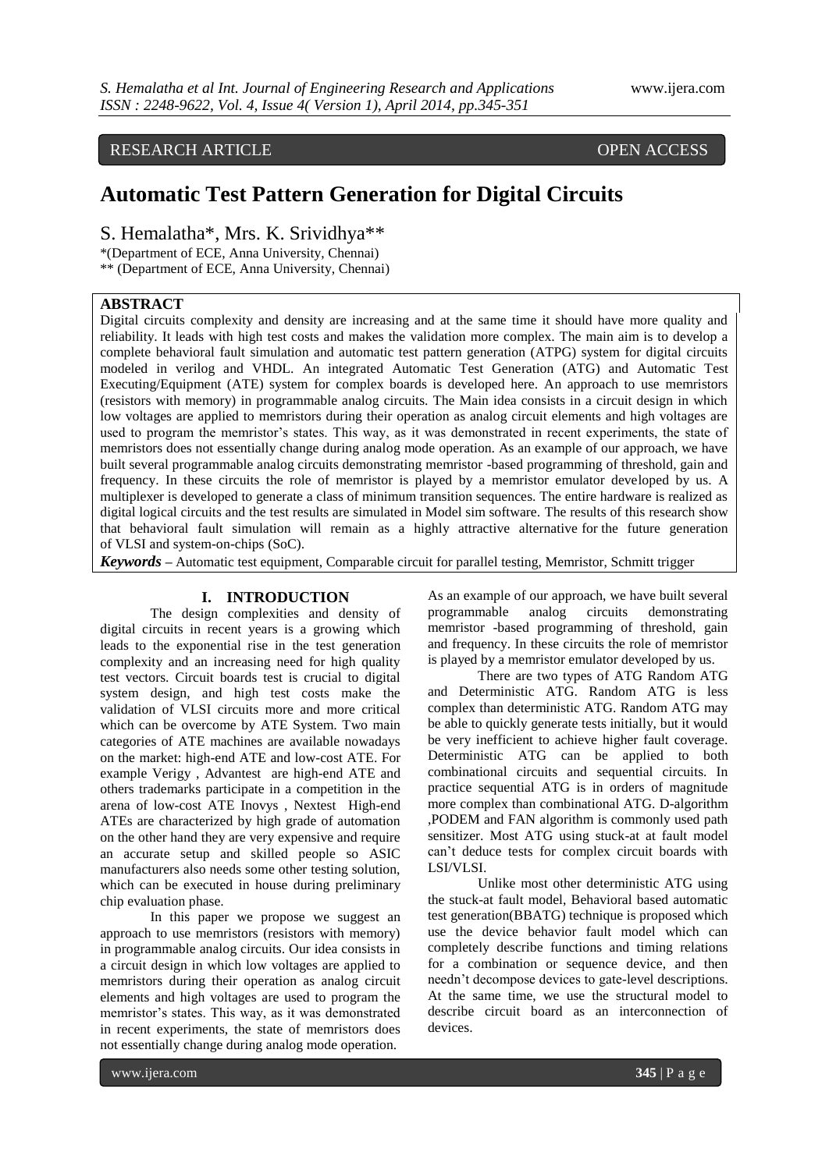# RESEARCH ARTICLE OPEN ACCESS

# **Automatic Test Pattern Generation for Digital Circuits**

S. Hemalatha\*, Mrs. K. Srividhya\*\*

\*(Department of ECE, Anna University, Chennai)

\*\* (Department of ECE, Anna University, Chennai)

# **ABSTRACT**

Digital circuits complexity and density are increasing and at the same time it should have more quality and reliability. It leads with high test costs and makes the validation more complex. The main aim is to develop a complete behavioral fault simulation and automatic test pattern generation (ATPG) system for digital circuits modeled in verilog and VHDL. An integrated Automatic Test Generation (ATG) and Automatic Test Executing/Equipment (ATE) system for complex boards is developed here. An approach to use memristors (resistors with memory) in programmable analog circuits. The Main idea consists in a circuit design in which low voltages are applied to memristors during their operation as analog circuit elements and high voltages are used to program the memristor's states. This way, as it was demonstrated in recent experiments, the state of memristors does not essentially change during analog mode operation. As an example of our approach, we have built several programmable analog circuits demonstrating memristor -based programming of threshold, gain and frequency. In these circuits the role of memristor is played by a memristor emulator developed by us. A multiplexer is developed to generate a class of minimum transition sequences. The entire hardware is realized as digital logical circuits and the test results are simulated in Model sim software. The results of this research show that behavioral fault simulation will remain as a highly attractive alternative for the future generation of VLSI and system-on-chips (SoC).

*Keywords –* Automatic test equipment, Comparable circuit for parallel testing, Memristor, Schmitt trigger

# **I. INTRODUCTION**

The design complexities and density of digital circuits in recent years is a growing which leads to the exponential rise in the test generation complexity and an increasing need for high quality test vectors. Circuit boards test is crucial to digital system design, and high test costs make the validation of VLSI circuits more and more critical which can be overcome by ATE System. Two main categories of ATE machines are available nowadays on the market: high-end ATE and low-cost ATE. For example Verigy , Advantest are high-end ATE and others trademarks participate in a competition in the arena of low-cost ATE Inovys , Nextest High-end ATEs are characterized by high grade of automation on the other hand they are very expensive and require an accurate setup and skilled people so ASIC manufacturers also needs some other testing solution, which can be executed in house during preliminary chip evaluation phase.

In this paper we propose we suggest an approach to use memristors (resistors with memory) in programmable analog circuits. Our idea consists in a circuit design in which low voltages are applied to memristors during their operation as analog circuit elements and high voltages are used to program the memristor's states. This way, as it was demonstrated in recent experiments, the state of memristors does not essentially change during analog mode operation.

As an example of our approach, we have built several programmable analog circuits demonstrating memristor -based programming of threshold, gain and frequency. In these circuits the role of memristor is played by a memristor emulator developed by us.

There are two types of ATG Random ATG and Deterministic ATG. Random ATG is less complex than deterministic ATG. Random ATG may be able to quickly generate tests initially, but it would be very inefficient to achieve higher fault coverage. Deterministic ATG can be applied to both combinational circuits and sequential circuits. In practice sequential ATG is in orders of magnitude more complex than combinational ATG. D-algorithm ,PODEM and FAN algorithm is commonly used path sensitizer. Most ATG using stuck-at at fault model can't deduce tests for complex circuit boards with LSI/VLSI.

Unlike most other deterministic ATG using the stuck-at fault model, Behavioral based automatic test generation(BBATG) technique is proposed which use the device behavior fault model which can completely describe functions and timing relations for a combination or sequence device, and then needn't decompose devices to gate-level descriptions. At the same time, we use the structural model to describe circuit board as an interconnection of devices.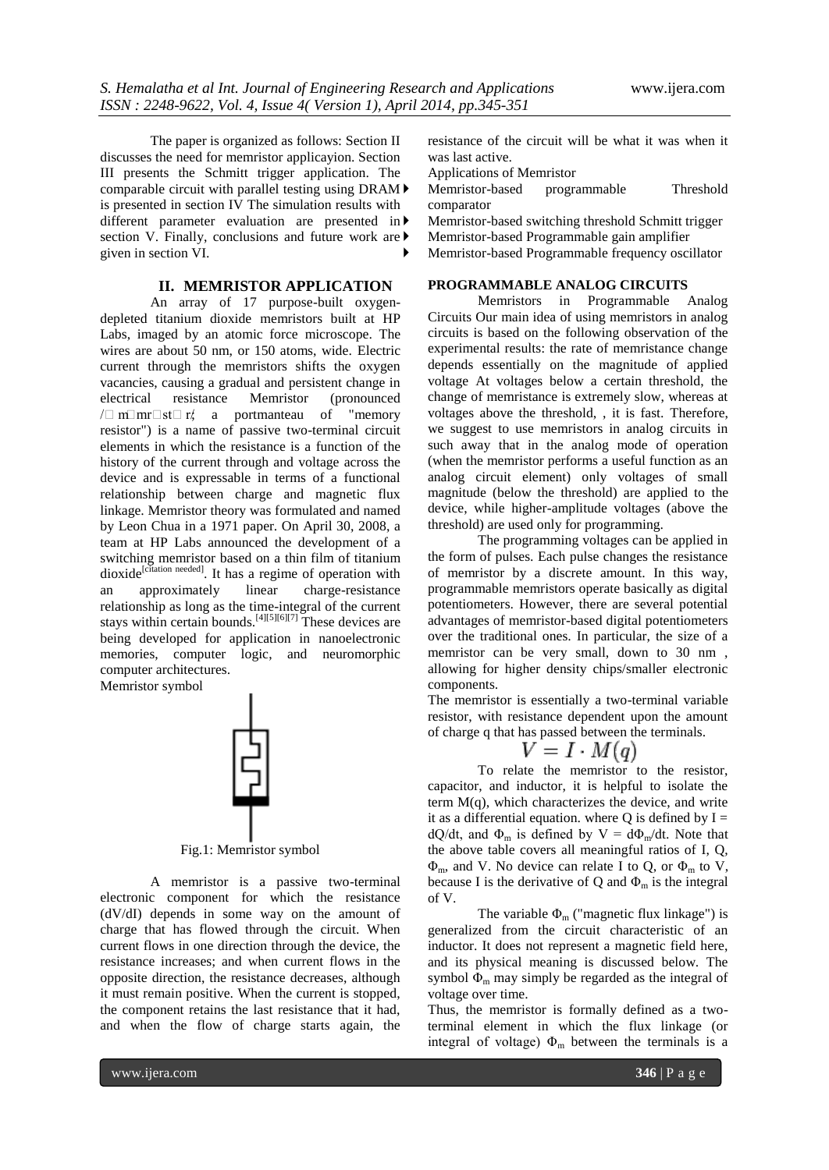The paper is organized as follows: Section II discusses the need for memristor applicayion. Section III presents the Schmitt trigger application. The comparable circuit with parallel testing using DRAM is presented in section IV The simulation results with different parameter evaluation are presented in section V. Finally, conclusions and future work are  $\blacktriangleright$ given in section VI.

# **II. MEMRISTOR APPLICATION**

An array of 17 purpose-built [oxygen](http://en.wikipedia.org/wiki/Oxygen)depleted [titanium dioxide](http://en.wikipedia.org/wiki/Titanium_dioxide) memristors built at [HP](http://en.wikipedia.org/wiki/HP_Labs)  [Labs,](http://en.wikipedia.org/wiki/HP_Labs) imaged by an [atomic force](http://en.wikipedia.org/wiki/Atomic_force_microscope) microscope. The wires are about 50 nm, or 150 atoms, wide. [Electric](http://en.wikipedia.org/wiki/Electric_current)  [current](http://en.wikipedia.org/wiki/Electric_current) through the memristors shifts the oxygen vacancies, causing a gradual and persistent change in [electrical resistance](http://en.wikipedia.org/wiki/Electrical_resistance) Memristor (pronounced  $\sqrt{m}$  m st $\sqrt{m}$  r/; a [portmanteau](http://en.wikipedia.org/wiki/Portmanteau) of "memory" resistor") is a name of [passive](http://en.wikipedia.org/wiki/Passive_circuit_element) two-terminal [circuit](http://en.wikipedia.org/wiki/Circuit_element)  [elements](http://en.wikipedia.org/wiki/Circuit_element) in which the resistance is a [function](http://en.wikipedia.org/wiki/Function_%28mathematics%29) of the history of the [current](http://en.wikipedia.org/wiki/Electric_current) through and [voltage](http://en.wikipedia.org/wiki/Voltage) across the device and is expressable in terms of a functional relationship between charge and magnetic flux linkage. Memristor theory was formulated and named by [Leon Chua](http://en.wikipedia.org/wiki/Leon_Chua) in a 1971 paper. On April 30, 2008, a team at [HP Labs](http://en.wikipedia.org/wiki/HP_Labs) announced the development of a switching memristor based on a [thin film](http://en.wikipedia.org/wiki/Thin_film) of [titanium](http://en.wikipedia.org/wiki/Titanium_dioxide)  [dioxide](http://en.wikipedia.org/wiki/Titanium_dioxide)<sup>[\[citation needed\]](http://en.wikipedia.org/wiki/Wikipedia:Citation_needed)</sup>. It has a regime of operation with an approximately linear charge-resistance relationship as long as the time-integral of the current stays within certain bounds[.](http://en.wikipedia.org/wiki/Memristor#cite_note-Nature08-3)<sup>[\[4\]\[5\]\[](http://en.wikipedia.org/wiki/Memristor#cite_note-Nature08-3)[6\]\[7\]](http://en.wikipedia.org/wiki/Memristor#cite_note-5)</sup> These devices are being developed for application in [nanoelectronic](http://en.wikipedia.org/wiki/Nanoelectronic) memories, computer logic, and [neuromorphic](http://en.wikipedia.org/wiki/Neuromorphic) computer architectures. Memristor symbol

Fig.1: Memristor symbol

A memristor is a passive two-terminal electronic component for which the resistance (dV/dI) depends in some way on the amount of charge that has flowed through the circuit. When current flows in one direction through the device, the resistance increases; and when current flows in the opposite direction, the resistance decreases, although it must remain positive. When the current is stopped, the component retains the last resistance that it had, and when the flow of charge starts again, the

resistance of the circuit will be what it was when it was last active.

Applications of Memristor

 Memristor-based programmable Threshold comparator

Memristor-based switching threshold Schmitt trigger

Memristor-based Programmable gain amplifier

Memristor-based Programmable frequency oscillator

# **PROGRAMMABLE ANALOG CIRCUITS**

Memristors in Programmable Analog Circuits Our main idea of using memristors in analog circuits is based on the following observation of the experimental results: the rate of memristance change depends essentially on the magnitude of applied voltage At voltages below a certain threshold, the change of memristance is extremely slow, whereas at voltages above the threshold, , it is fast. Therefore, we suggest to use memristors in analog circuits in such away that in the analog mode of operation (when the memristor performs a useful function as an analog circuit element) only voltages of small magnitude (below the threshold) are applied to the device, while higher-amplitude voltages (above the threshold) are used only for programming.

The programming voltages can be applied in the form of pulses. Each pulse changes the resistance of memristor by a discrete amount. In this way, programmable memristors operate basically as digital potentiometers. However, there are several potential advantages of memristor-based digital potentiometers over the traditional ones. In particular, the size of a memristor can be very small, down to 30 nm , allowing for higher density chips/smaller electronic components.

The memristor is essentially a two-terminal variable resistor, with resistance dependent upon the amount of charge q that has passed between the terminals.

$$
V = I \cdot M(q)
$$

To relate the memristor to the resistor, capacitor, and inductor, it is helpful to isolate the term  $M(q)$ , which characterizes the device, and write it as a differential equation. where Q is defined by  $I =$ dQ/dt, and  $\Phi_m$  is defined by  $V = d\Phi_m/dt$ . Note that the above table covers all meaningful ratios of I, Q,  $\Phi_{\rm m}$ , and V. No device can relate I to Q, or  $\Phi_{\rm m}$  to V, because I is the derivative of Q and  $\Phi_m$  is the integral of V.

The variable  $\Phi_{\rm m}$  ("magnetic [flux linkage"](http://en.wikipedia.org/wiki/Flux_linkage)) is generalized from the circuit characteristic of an inductor. It does not represent a magnetic field here, and its physical meaning is discussed below. The symbol  $\Phi_{\rm m}$  may simply be regarded as the integral of voltage over time.

Thus, the memristor is formally defined as a twoterminal element in which the flux linkage (or integral of voltage)  $\Phi_{\rm m}$  between the terminals is a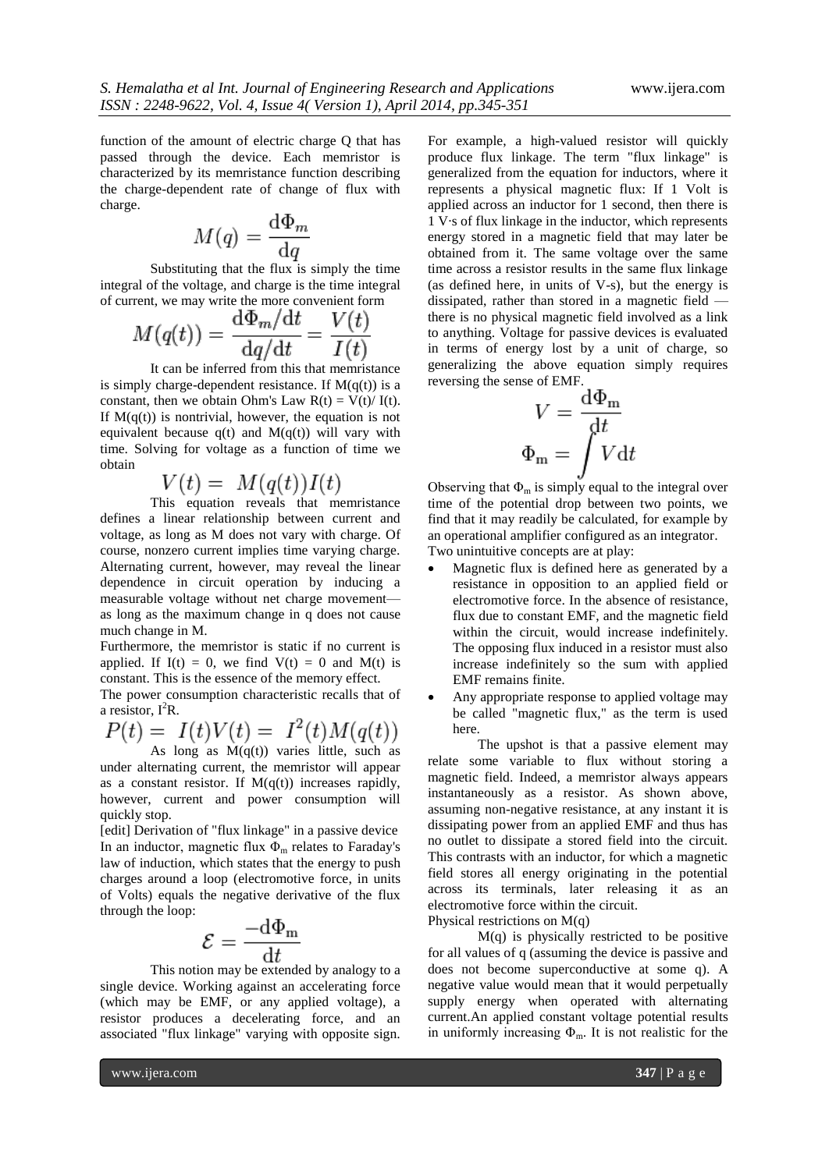function of the amount of [electric charge](http://en.wikipedia.org/wiki/Electric_charge) Q that has passed through the device. Each memristor is characterized by its memristance function describing the charge-dependent rate of change of flux with charge.

$$
M(q) = \frac{\mathrm{d}\Phi_m}{\mathrm{d}q}
$$

Substituting that the flux is simply the time integral of the voltage, and charge is the time integral of current, we may write the more convenient form

$$
M(q(t)) = \frac{\mathrm{d}\Phi_m/\mathrm{d}t}{\mathrm{d}q/\mathrm{d}t} = \frac{V(t)}{I(t)}
$$

It can be inferred from this that memristance is simply charge-dependent [resistance.](http://en.wikipedia.org/wiki/Electrical_resistance) If  $M(q(t))$  is a constant, then we obtain [Ohm's Law](http://en.wikipedia.org/wiki/Ohm%27s_Law)  $R(t) = V(t)/ I(t)$ . If  $M(q(t))$  is nontrivial, however, the equation is not equivalent because  $q(t)$  and  $M(q(t))$  will vary with time. Solving for voltage as a function of time we obtain

$$
V(t) = M(q(t))I(t)
$$

This equation reveals that memristance defines a linear relationship between current and voltage, as long as M does not vary with charge. Of course, nonzero current implies time varying charge. [Alternating current,](http://en.wikipedia.org/wiki/Alternating_current) however, may reveal the linear dependence in circuit operation by inducing a measurable voltage without net charge movement as long as the maximum change in q does not cause [much](http://en.wikipedia.org/wiki/Small_signal_model) change in M.

Furthermore, the memristor is static if no current is applied. If  $I(t) = 0$ , we find  $V(t) = 0$  and  $M(t)$  is constant. This is the essence of the memory effect.

The [power consumption](http://en.wikipedia.org/wiki/Power_consumption) characteristic recalls that of a resistor,  $I^2R$ .

$$
P(t) = I(t)V(t) = I^2(t)M(q(t))
$$

As long as  $M(q(t))$  varies little, such as under alternating current, the memristor will appear as a constant resistor. If  $M(q(t))$  increases rapidly, however, current and power consumption will quickly stop.

[\[edit\]](http://en.wikipedia.org/w/index.php?title=Memristor&action=edit§ion=3) Derivation of "flux linkage" in a passive device In an [inductor,](http://en.wikipedia.org/wiki/Inductor) magnetic flux  $\Phi_{\rm m}$  relates to Faraday's [law of induction,](http://en.wikipedia.org/wiki/Faraday%27s_law_of_induction) which states that the energy to push charges around a loop [\(electromotive force,](http://en.wikipedia.org/wiki/Electromotive_force) in units of Volts) equals the negative derivative of the flux through the loop:

$$
\mathcal{E} = \frac{-\mathrm{d}\Phi_{\mathrm{m}}}{\mathrm{d}t}
$$

This notion may be extended by analogy to a single device. Working against an accelerating force (which may be EMF, or any applied voltage), a resistor produces a decelerating force, and an associated "flux linkage" varying with opposite sign.

For example, a high-valued resistor will quickly produce flux linkage. The term "flux linkage" is generalized from the equation for inductors, where it represents a physical magnetic flux: If 1 Volt is applied across an inductor for 1 second, then there is 1 V·s of flux linkage in the inductor, which represents energy stored in a magnetic field that may later be obtained from it. The same voltage over the same time across a resistor results in the same flux linkage (as defined here, in units of V-s), but the energy is dissipated, rather than stored in a magnetic field there is no physical magnetic field involved as a link to anything. Voltage for passive devices is evaluated in terms of energy lost by a unit of charge, so generalizing the above equation simply requires reversing the sense of EMF.

$$
V = \frac{\mathrm{d}\Phi_{\mathrm{m}}}{\mathrm{d}t}
$$

$$
\Phi_{\mathrm{m}} = \int V \mathrm{d}t
$$

Observing that  $\Phi_m$  is simply equal to the integral over time of the potential drop between two points, we find that it may readily be calculated, for example by an [operational amplifier](http://en.wikipedia.org/wiki/Operational_amplifier) configured as a[n integrator.](http://en.wikipedia.org/wiki/Integrator) Two unintuitive concepts are at play:

- Magnetic flux is defined here as generated by a resistance in opposition to an applied field or electromotive force. In the [absence of resistance,](http://en.wikipedia.org/wiki/Superconductor) flux due to constant EMF, and the [magnetic field](http://en.wikipedia.org/wiki/Superconducting_magnet) within the circuit, would increase indefinitely. The opposing flux induced in a resistor must also increase indefinitely so the sum with applied EMF remains finite.
- Any appropriate response to applied voltage may be called "magnetic flux," as the term is used here.

The upshot is that a passive element may relate some variable to flux without storing a magnetic field. Indeed, a memristor always appears instantaneously as a resistor. As shown above, assuming non[-negative resistance,](http://en.wikipedia.org/wiki/Negative_resistance) at any instant it is dissipating power from an applied EMF and thus has no outlet to dissipate a stored field into the circuit. This contrasts with an inductor, for which a magnetic field stores all energy originating in the potential across its terminals, later releasing it as an electromotive force within the circuit. Physical restrictions on M(q)

M(q) is physically restricted to be positive for all values of q (assuming the device is passive and does not become [superconductive](http://en.wikipedia.org/wiki/Superconductive) at some q). A negative value would mean that it would perpetually supply energy when operated with alternating current.An applied constant voltage potential results in uniformly increasing  $\Phi_{\rm m}$ . It is not realistic for the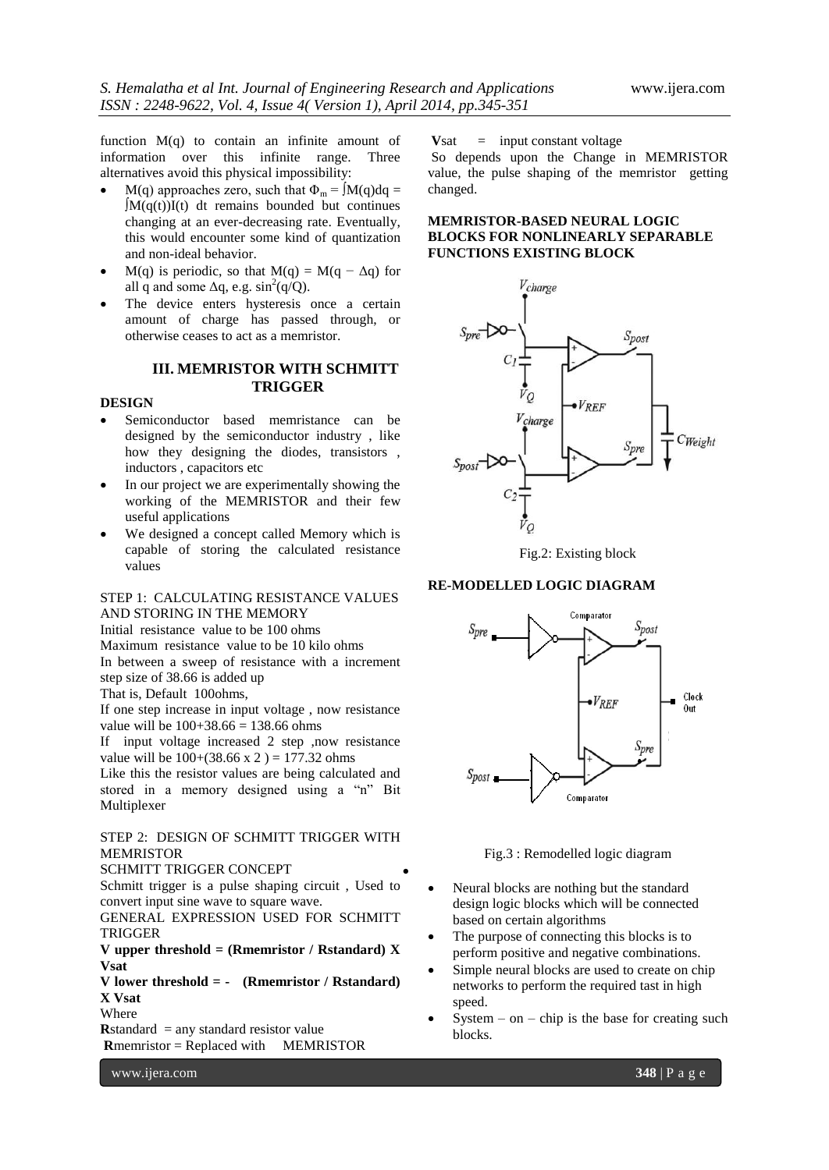function  $M(q)$  to contain an infinite amount of information over this infinite range. Three alternatives avoid this physical impossibility:

- M(q) approaches zero, such that  $\Phi_m = \int M(q) dq =$ ∫M(q(t))I(t) dt remains bounded but continues changing at an ever-decreasing rate. Eventually, this would encounter some kind of [quantization](http://en.wikipedia.org/wiki/Quantum_physics) and non-ideal behavior.
- M(q) is periodic, so that M(q) = M(q  $\Delta q$ ) for all q and some  $\Delta q$ , e.g.  $\sin^2(q/Q)$ .
- The device enters [hysteresis](http://en.wikipedia.org/wiki/Hysteresis) once a certain amount of charge has passed through, or otherwise ceases to act as a memristor.

## **III. MEMRISTOR WITH SCHMITT TRIGGER**

#### **DESIGN**

- Semiconductor based memristance can be designed by the semiconductor industry , like how they designing the diodes, transistors , inductors , capacitors etc
- In our project we are experimentally showing the working of the MEMRISTOR and their few useful applications
- We designed a concept called Memory which is capable of storing the calculated resistance values

# STEP 1: CALCULATING RESISTANCE VALUES AND STORING IN THE MEMORY

Initial resistance value to be 100 ohms

Maximum resistance value to be 10 kilo ohms In between a sweep of resistance with a increment step size of 38.66 is added up

That is, Default 100ohms,

If one step increase in input voltage , now resistance value will be  $100+38.66 = 138.66$  ohms

If input voltage increased 2 step ,now resistance value will be  $100+(38.66 \times 2) = 177.32$  ohms

Like this the resistor values are being calculated and stored in a memory designed using a "n" Bit Multiplexer

STEP 2: DESIGN OF SCHMITT TRIGGER WITH MEMRISTOR

SCHMITT TRIGGER CONCEPT

Schmitt trigger is a pulse shaping circuit , Used to convert input sine wave to square wave.

 $\bullet$ 

GENERAL EXPRESSION USED FOR SCHMITT TRIGGER

**V upper threshold = (Rmemristor / Rstandard) X Vsat**

**V lower threshold = - (Rmemristor / Rstandard) X Vsat**

Where

**R**standard  $=$  any standard resistor value

**R**memristor = Replaced with MEMRISTOR

**V**sat = input constant voltage

So depends upon the Change in MEMRISTOR value, the pulse shaping of the memristor getting changed.

# **MEMRISTOR-BASED NEURAL LOGIC BLOCKS FOR NONLINEARLY SEPARABLE FUNCTIONS EXISTING BLOCK**



Fig.2: Existing block

# **RE-MODELLED LOGIC DIAGRAM**



Fig.3 : Remodelled logic diagram

- Neural blocks are nothing but the standard design logic blocks which will be connected based on certain algorithms
- The purpose of connecting this blocks is to perform positive and negative combinations.
- Simple neural blocks are used to create on chip networks to perform the required tast in high speed.
- System on chip is the base for creating such blocks.

www.ijera.com **348** | P a g e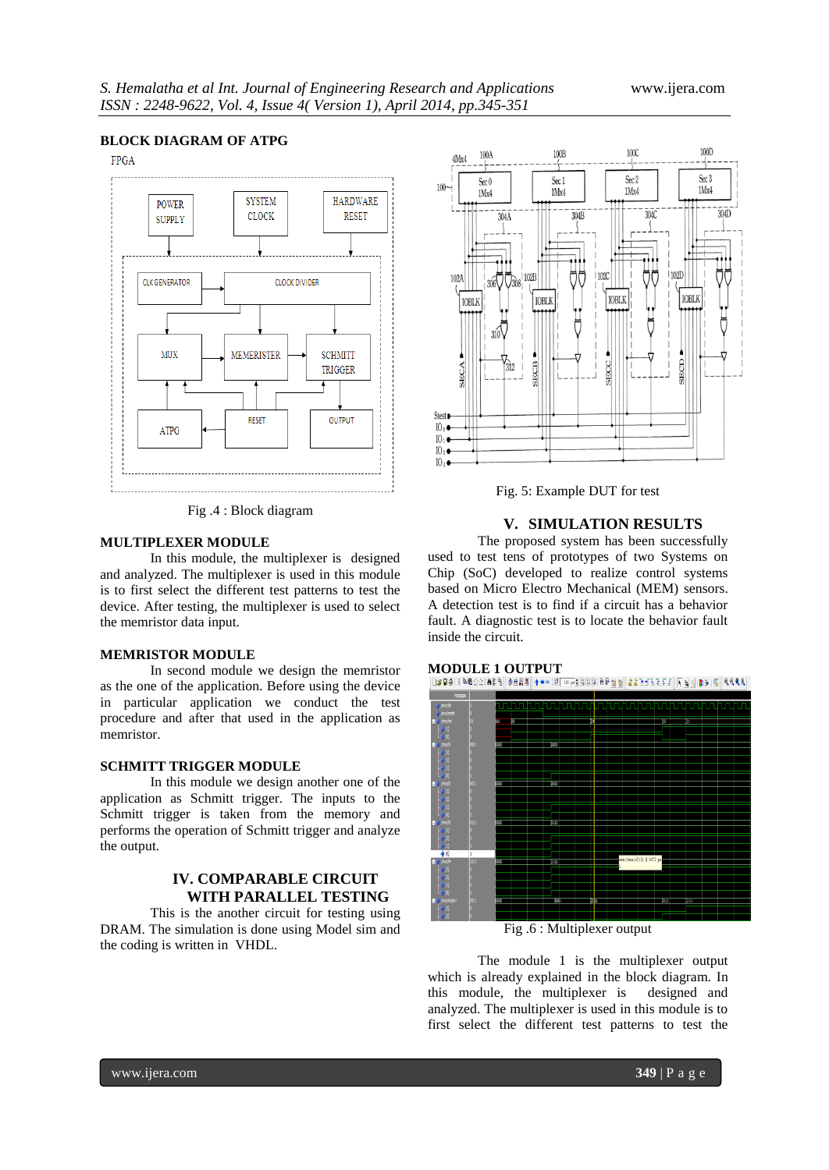# **BLOCK DIAGRAM OF ATPG**

**FPGA** 



Fig .4 : Block diagram

#### **MULTIPLEXER MODULE**

In this module, the multiplexer is designed and analyzed. The multiplexer is used in this module is to first select the different test patterns to test the device. After testing, the multiplexer is used to select the memristor data input.

#### **MEMRISTOR MODULE**

In second module we design the memristor as the one of the application. Before using the device in particular application we conduct the test procedure and after that used in the application as memristor.

## **SCHMITT TRIGGER MODULE**

In this module we design another one of the application as Schmitt trigger. The inputs to the Schmitt trigger is taken from the memory and performs the operation of Schmitt trigger and analyze the output.

# **IV. COMPARABLE CIRCUIT WITH PARALLEL TESTING**

This is the another circuit for testing using DRAM. The simulation is done using Model sim and the coding is written in VHDL.



Fig. 5: Example DUT for test

# **V. SIMULATION RESULTS**

The proposed system has been successfully used to test tens of prototypes of two Systems on Chip (SoC) developed to realize control systems based on Micro Electro Mechanical (MEM) sensors. A detection test is to find if a circuit has a behavior fault. A diagnostic test is to locate the behavior fault inside the circuit.





Fig .6 : Multiplexer output

The module 1 is the multiplexer output which is already explained in the block diagram. In this module, the multiplexer is designed and analyzed. The multiplexer is used in this module is to first select the different test patterns to test the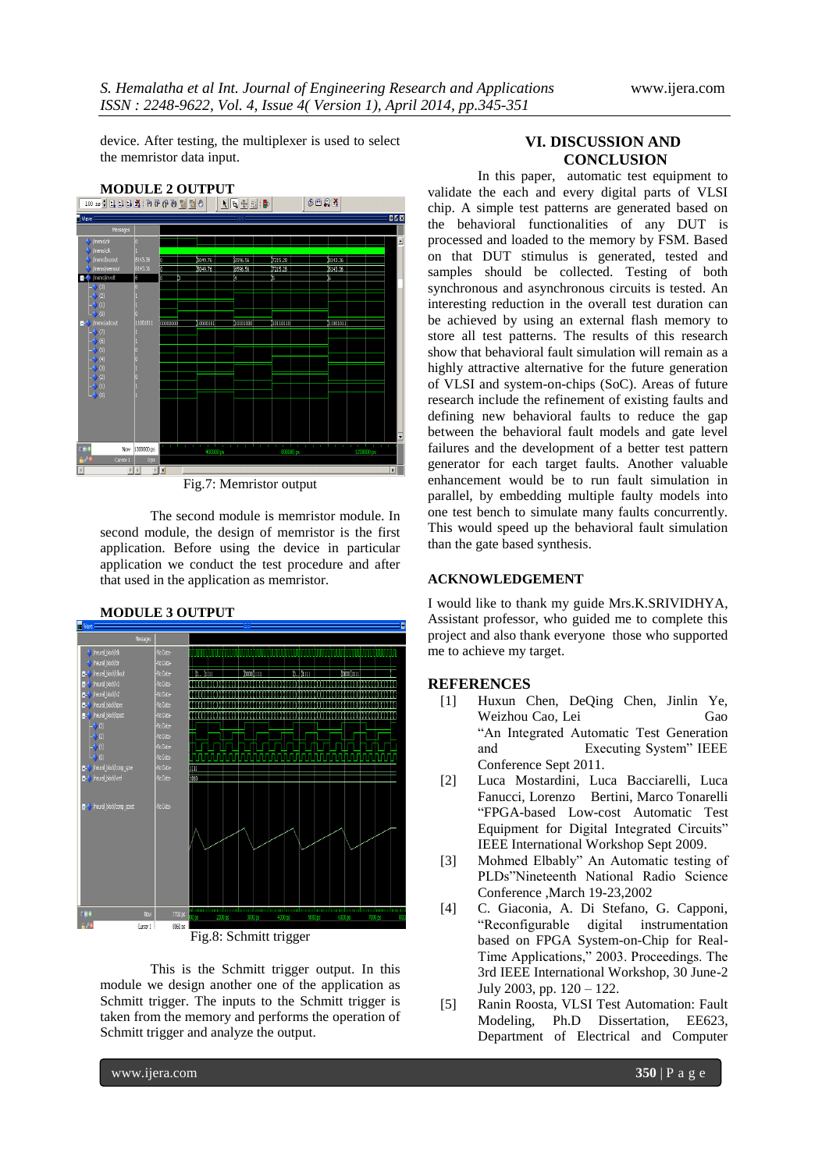device. After testing, the multiplexer is used to select the memristor data input.



Fig.7: Memristor output

The second module is memristor module. In second module, the design of memristor is the first application. Before using the device in particular application we conduct the test procedure and after that used in the application as memristor.



# **MODULE 3 OUTPUT**

Fig.8: Schmitt trigger

This is the Schmitt trigger output. In this module we design another one of the application as Schmitt trigger. The inputs to the Schmitt trigger is taken from the memory and performs the operation of Schmitt trigger and analyze the output.

## **VI. DISCUSSION AND CONCLUSION**

In this paper, automatic test equipment to validate the each and every digital parts of VLSI chip. A simple test patterns are generated based on the behavioral functionalities of any DUT is processed and loaded to the memory by FSM. Based on that DUT stimulus is generated, tested and samples should be collected. Testing of both synchronous and asynchronous circuits is tested. An interesting reduction in the overall test duration can be achieved by using an external flash memory to store all test patterns. The results of this research show that behavioral fault simulation will remain as a highly attractive alternative for the future generation of VLSI and system-on-chips (SoC). Areas of future research include the refinement of existing faults and defining new behavioral faults to reduce the gap between the behavioral fault models and gate level failures and the development of a better test pattern generator for each target faults. Another valuable enhancement would be to run fault simulation in parallel, by embedding multiple faulty models into one test bench to simulate many faults concurrently. This would speed up the behavioral fault simulation than the gate based synthesis.

# **ACKNOWLEDGEMENT**

I would like to thank my guide Mrs.K.SRIVIDHYA, Assistant professor, who guided me to complete this project and also thank everyone those who supported me to achieve my target.

#### **REFERENCES**

- [1] Huxun Chen, DeQing Chen, Jinlin Ye, Weizhou Cao, Lei Gao ―An Integrated Automatic Test Generation and Executing System" IEEE Conference Sept 2011.
- [2] Luca Mostardini, Luca Bacciarelli, Luca Fanucci, Lorenzo Bertini, Marco Tonarelli ―FPGA-based Low-cost Automatic Test Equipment for Digital Integrated Circuits" IEEE International Workshop Sept 2009.
- [3] Mohmed Elbably" An Automatic testing of PLDs"Nineteenth National Radio Science Conference ,March 19-23,2002
- [4] C. Giaconia, A. Di Stefano, G. Capponi, ―Reconfigurable digital instrumentation based on FPGA System-on-Chip for Real-Time Applications," 2003. Proceedings. The 3rd IEEE International Workshop, 30 June-2 July 2003, pp. 120 – 122.
- [5] Ranin Roosta, VLSI Test Automation: Fault Modeling, Ph.D Dissertation, EE623, Department of Electrical and Computer

www.ijera.com **350** | P a g e